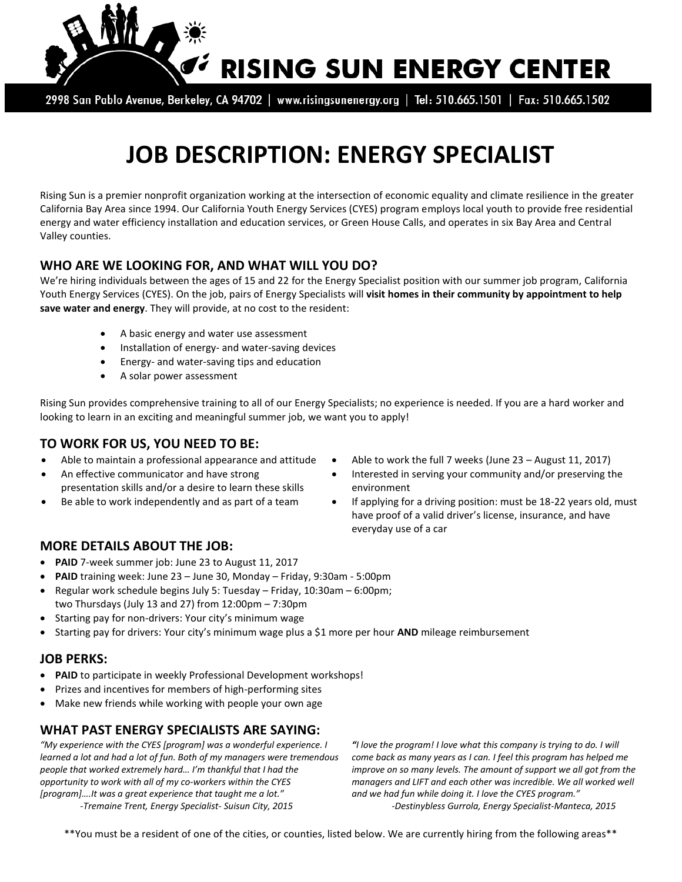

2998 San Pablo Avenue, Berkeley, CA 94702 | www.risingsunenergy.org | Tel: 510.665.1501 | Fax: 510.665.1502

# **JOB DESCRIPTION: ENERGY SPECIALIST**

Rising Sun is a premier nonprofit organization working at the intersection of economic equality and climate resilience in the greater California Bay Area since 1994. Our California Youth Energy Services (CYES) program employs local youth to provide free residential energy and water efficiency installation and education services, or Green House Calls, and operates in six Bay Area and Central Valley counties.

#### **WHO ARE WE LOOKING FOR, AND WHAT WILL YOU DO?**

We're hiring individuals between the ages of 15 and 22 for the Energy Specialist position with our summer job program, California Youth Energy Services (CYES). On the job, pairs of Energy Specialists will **visit homes in their community by appointment to help save water and energy**. They will provide, at no cost to the resident:

- A basic energy and water use assessment
- Installation of energy- and water-saving devices
- Energy- and water-saving tips and education
- A solar power assessment

Rising Sun provides comprehensive training to all of our Energy Specialists; no experience is needed. If you are a hard worker and looking to learn in an exciting and meaningful summer job, we want you to apply!

#### **TO WORK FOR US, YOU NEED TO BE:**

- 
- An effective communicator and have strong presentation skills and/or a desire to learn these skills
- 
- Able to maintain a professional appearance and attitude  $\bullet$  Able to work the full 7 weeks (June 23 August 11, 2017)
	- Interested in serving your community and/or preserving the environment
	- Be able to work independently and as part of a team  $\bullet$  If applying for a driving position: must be 18-22 years old, must have proof of a valid driver's license, insurance, and have everyday use of a car

### **MORE DETAILS ABOUT THE JOB:**

- **PAID** 7-week summer job: June 23 to August 11, 2017
- **PAID** training week: June 23 June 30, Monday Friday, 9:30am 5:00pm
- Regular work schedule begins July 5: Tuesday Friday, 10:30am 6:00pm; two Thursdays (July 13 and 27) from 12:00pm – 7:30pm
- Starting pay for non-drivers: Your city's minimum wage
- Starting pay for drivers: Your city's minimum wage plus a \$1 more per hour **AND** mileage reimbursement

#### **JOB PERKS:**

- **PAID** to participate in weekly Professional Development workshops!
- Prizes and incentives for members of high-performing sites
- Make new friends while working with people your own age

## **WHAT PAST ENERGY SPECIALISTS ARE SAYING:**

*"My experience with the CYES [program] was a wonderful experience. I learned a lot and had a lot of fun. Both of my managers were tremendous people that worked extremely hard… I'm thankful that I had the opportunity to work with all of my co-workers within the CYES [program]….It was a great experience that taught me a lot." -Tremaine Trent, Energy Specialist- Suisun City, 2015*

*"I love the program! I love what this company is trying to do. I will come back as many years as I can. I feel this program has helped me improve on so many levels. The amount of support we all got from the managers and LIFT and each other was incredible. We all worked well and we had fun while doing it. I love the CYES program." -Destinybless Gurrola, Energy Specialist-Manteca, 2015*

\*\*You must be a resident of one of the cities, or counties, listed below. We are currently hiring from the following areas\*\*